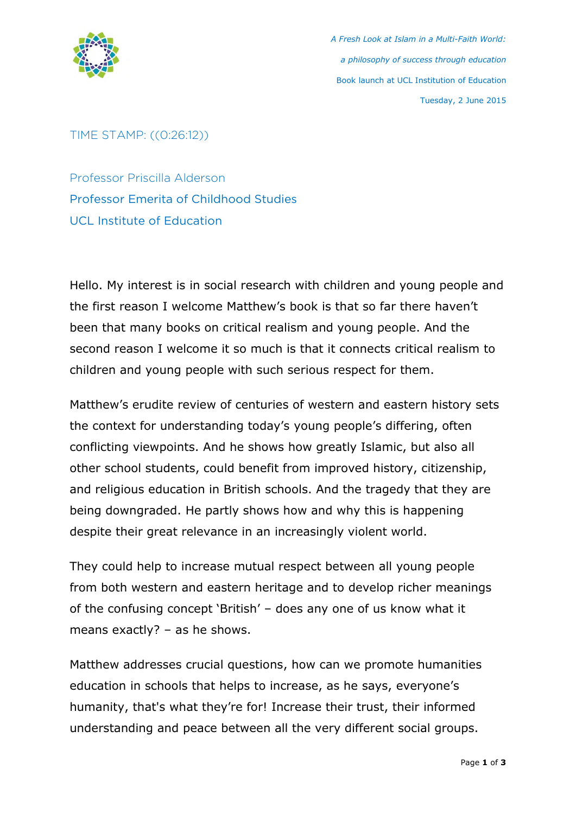

*A Fresh Look at Islam in a Multi-Faith World: a philosophy of success through education* Book launch at UCL Institution of Education Tuesday, 2 June 2015

## TIME STAMP: ((0:26:12))

Professor Priscilla Alderson Professor Emerita of Childhood Studies UCL Institute of Education

Hello. My interest is in social research with children and young people and the first reason I welcome Matthew's book is that so far there haven't been that many books on critical realism and young people. And the second reason I welcome it so much is that it connects critical realism to children and young people with such serious respect for them.

Matthew's erudite review of centuries of western and eastern history sets the context for understanding today's young people's differing, often conflicting viewpoints. And he shows how greatly Islamic, but also all other school students, could benefit from improved history, citizenship, and religious education in British schools. And the tragedy that they are being downgraded. He partly shows how and why this is happening despite their great relevance in an increasingly violent world.

They could help to increase mutual respect between all young people from both western and eastern heritage and to develop richer meanings of the confusing concept 'British' – does any one of us know what it means exactly? – as he shows.

Matthew addresses crucial questions, how can we promote humanities education in schools that helps to increase, as he says, everyone's humanity, that's what they're for! Increase their trust, their informed understanding and peace between all the very different social groups.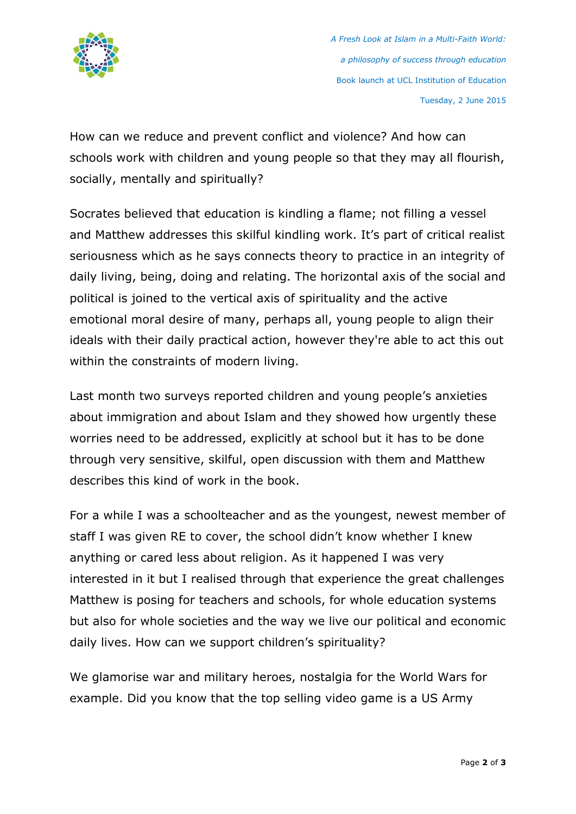

*A Fresh Look at Islam in a Multi-Faith World: a philosophy of success through education* Book launch at UCL Institution of Education Tuesday, 2 June 2015

How can we reduce and prevent conflict and violence? And how can schools work with children and young people so that they may all flourish, socially, mentally and spiritually?

Socrates believed that education is kindling a flame; not filling a vessel and Matthew addresses this skilful kindling work. It's part of critical realist seriousness which as he says connects theory to practice in an integrity of daily living, being, doing and relating. The horizontal axis of the social and political is joined to the vertical axis of spirituality and the active emotional moral desire of many, perhaps all, young people to align their ideals with their daily practical action, however they're able to act this out within the constraints of modern living.

Last month two surveys reported children and young people's anxieties about immigration and about Islam and they showed how urgently these worries need to be addressed, explicitly at school but it has to be done through very sensitive, skilful, open discussion with them and Matthew describes this kind of work in the book.

For a while I was a schoolteacher and as the youngest, newest member of staff I was given RE to cover, the school didn't know whether I knew anything or cared less about religion. As it happened I was very interested in it but I realised through that experience the great challenges Matthew is posing for teachers and schools, for whole education systems but also for whole societies and the way we live our political and economic daily lives. How can we support children's spirituality?

We glamorise war and military heroes, nostalgia for the World Wars for example. Did you know that the top selling video game is a US Army